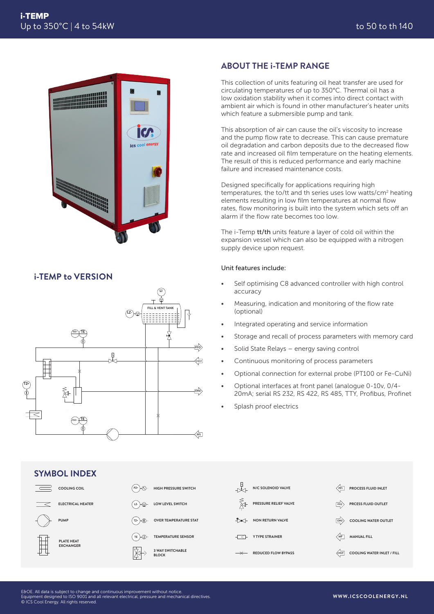

## **i-TEMP to VERSION**



## **ABOUT THE i-TEMP RANGE**

This collection of units featuring oil heat transfer are used for circulating temperatures of up to 350°C. Thermal oil has a low oxidation stability when it comes into direct contact with ambient air which is found in other manufacturer's heater units which feature a submersible pump and tank.

This absorption of air can cause the oil's viscosity to increase and the pump flow rate to decrease. This can cause premature oil degradation and carbon deposits due to the decreased flow rate and increased oil film temperature on the heating elements. The result of this is reduced performance and early machine failure and increased maintenance costs.

Designed specifically for applications requiring high temperatures, the to/tt and th series uses low watts/cm<sup>2</sup> heating elements resulting in low film temperatures at normal flow rates, flow monitoring is built into the system which sets off an alarm if the flow rate becomes too low.

The i-Temp tt/th units feature a layer of cold oil within the expansion vessel which can also be equipped with a nitrogen supply device upon request.

## Unit features include:

- Self optimising C8 advanced controller with high control accuracy
- Measuring, indication and monitoring of the flow rate (optional)
- Integrated operating and service information
- Storage and recall of process parameters with memory card
- Solid State Relays energy saving control
- **•** Continuous monitoring of process parameters
	- Optional connection for external probe (PT100 or Fe-CuNi)
- 20mA; serial RS 232, RS 422, RS 485, TTY, Profibus, Profinet • Optional interfaces at front panel (analogue 0-10v, 0/4-
	- Splash proof electrics



E&OE. All data is subject to change and continuous improvement without notice.<br>Equipment designed to ISO 9001 and all relevant electrical, pressure and mechanical directives.<br>© ICS Cool Energy. All rights reserved.